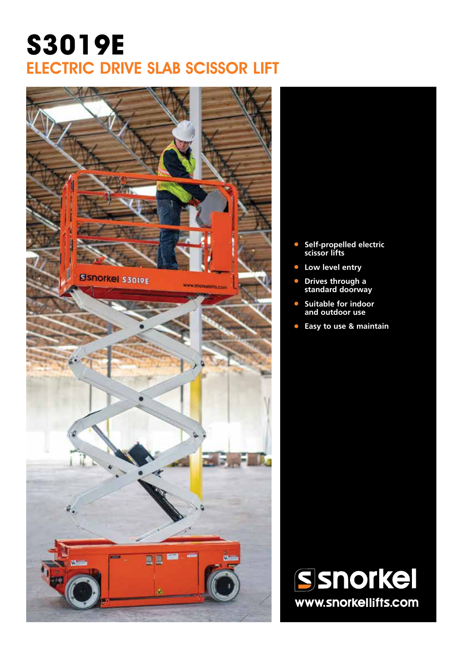# **S3019E** ELECTRIC DRIVE SLAB SCISSOR LIFT



- **• Self-propelled electric scissor lifts**
- **• Low level entry**
- **• Drives through a standard doorway**
- **• Suitable for indoor and outdoor use**
- **• Easy to use & maintain**